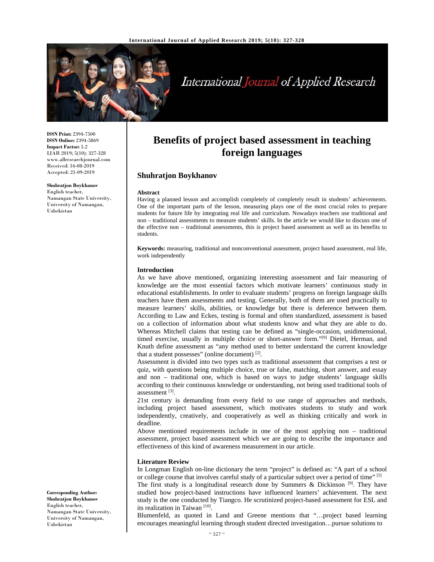

# International Journal of Applied Research

**ISSN Print:** 2394-7500 **ISSN Online:** 2394-5869 **Impact Factor:** 5.2 IJAR 2019; 5(10): 327-328 www.allresearchjournal.com Received: 16-08-2019 Accepted: 21-09-2019

**Shuhratjon Boykhanov**  English teacher, Namangan State University, University of Namangan, Uzbekistan

# **Benefits of project based assessment in teaching foreign languages**

## **Shuhratjon Boykhanov**

#### **Abstract**

Having a planned lesson and accomplish completely of completely result in students' achievements. One of the important parts of the lesson, measuring plays one of the most crucial roles to prepare students for future life by integrating real life and curriculum. Nowadays teachers use traditional and non – traditional assessments to measure students' skills. In the article we would like to discuss one of the effective non – traditional assessments, this is project based assessment as well as its benefits to students.

**Keywords:** measuring, traditional and nonconventional assessment, project based assessment, real life, work independently

#### **Introduction**

As we have above mentioned, organizing interesting assessment and fair measuring of knowledge are the most essential factors which motivate learners' continuous study in educational establishments. In order to evaluate students' progress on foreign language skills teachers have them assessments and testing. Generally, both of them are used practically to measure learners' skills, abilities, or knowledge but there is deference between them. According to Law and Eckes, testing is formal and often standardized, assessment is based on a collection of information about what students know and what they are able to do. Whereas Mitchell claims that testing can be defined as "single-occasion, unidimensional, timed exercise, usually in multiple choice or short-answer form."<sup>[9]</sup> Dietel, Herman, and Knuth define assessment as "any method used to better understand the current knowledge that a student possesses" (online document) [2].

Assessment is divided into two types such as traditional assessment that comprises a test or quiz, with questions being multiple choice, true or false, matching, short answer, and essay and non – traditional one, which is based on ways to judge students' language skills according to their continuous knowledge or understanding, not being used traditional tools of assessment [3].

21st century is demanding from every field to use range of approaches and methods, including project based assessment, which motivates students to study and work independently, creatively, and cooperatively as well as thinking critically and work in deadline.

Above mentioned requirements include in one of the most applying non – traditional assessment, project based assessment which we are going to describe the importance and effectiveness of this kind of awareness measurement in our article.

#### **Literature Review**

In Longman English on-line dictionary the term "project" is defined as: "A part of a school or college course that involves careful study of a particular subject over a period of time" [5]

The first study is a longitudinal research done by Summers & Dickinson  $[9]$ . They have studied how project-based instructions have influenced learners' achievement. The next study is the one conducted by Tiangco. He scrutinized project-based assessment for ESL and its realization in Taiwan [10].

Blumenfeld, as quoted in Land and Greene mentions that "…project based learning encourages meaningful learning through student directed investigation…pursue solutions to

**Corresponding Author: Shuhratjon Boykhanov**  English teacher, Namangan State University, University of Namangan, Uzbekistan